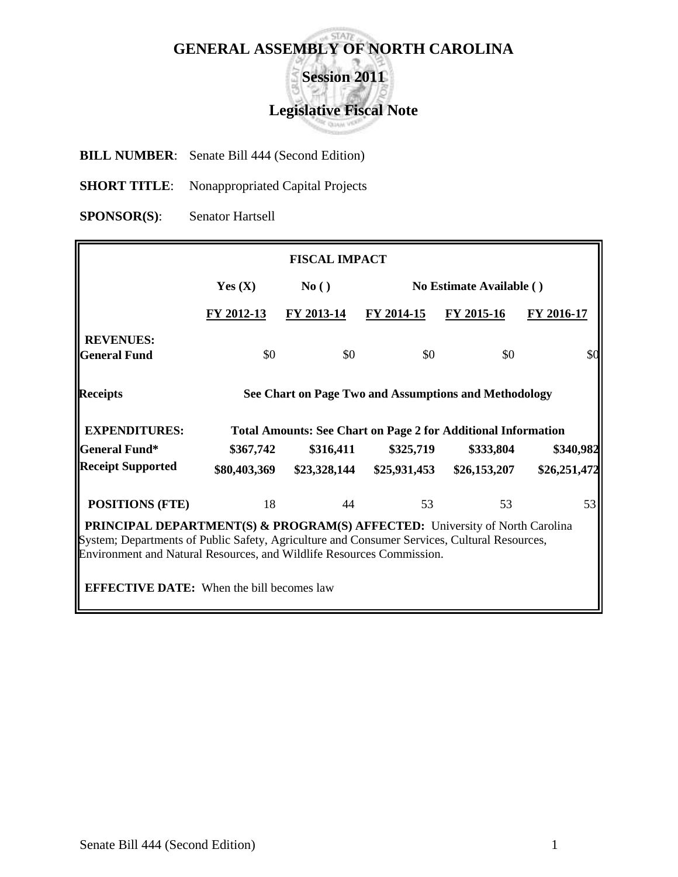# **GENERAL ASSEMBLY OF NORTH CAROLINA**

**Session 2011**

## **Legislative Fiscal Note**

**BILL NUMBER**: Senate Bill 444 (Second Edition)

**SHORT TITLE:** Nonappropriated Capital Projects

**SPONSOR(S)**: Senator Hartsell

| <b>FISCAL IMPACT</b>                                                                                                                                                                                                                                                                                                |                                                       |              |              |                                                                      |              |  |  |  |
|---------------------------------------------------------------------------------------------------------------------------------------------------------------------------------------------------------------------------------------------------------------------------------------------------------------------|-------------------------------------------------------|--------------|--------------|----------------------------------------------------------------------|--------------|--|--|--|
|                                                                                                                                                                                                                                                                                                                     | Yes $(X)$<br>No Estimate Available ()<br>No()         |              |              |                                                                      |              |  |  |  |
|                                                                                                                                                                                                                                                                                                                     | FY 2012-13                                            | FY 2013-14   | FY 2014-15   | FY 2015-16                                                           | FY 2016-17   |  |  |  |
| <b>REVENUES:</b><br><b>General Fund</b>                                                                                                                                                                                                                                                                             | \$0                                                   | \$0          | \$0          | \$0                                                                  | \$0          |  |  |  |
| <b>Receipts</b>                                                                                                                                                                                                                                                                                                     | See Chart on Page Two and Assumptions and Methodology |              |              |                                                                      |              |  |  |  |
| <b>EXPENDITURES:</b>                                                                                                                                                                                                                                                                                                |                                                       |              |              | <b>Total Amounts: See Chart on Page 2 for Additional Information</b> |              |  |  |  |
| <b>General Fund*</b>                                                                                                                                                                                                                                                                                                | \$367,742                                             | \$316,411    | \$325,719    | \$333,804                                                            | \$340,982    |  |  |  |
| <b>Receipt Supported</b>                                                                                                                                                                                                                                                                                            | \$80,403,369                                          | \$23,328,144 | \$25,931,453 | \$26,153,207                                                         | \$26,251,472 |  |  |  |
| <b>POSITIONS (FTE)</b>                                                                                                                                                                                                                                                                                              | 18                                                    | 44           | 53           | 53                                                                   | 53           |  |  |  |
| <b>PRINCIPAL DEPARTMENT(S) &amp; PROGRAM(S) AFFECTED:</b> University of North Carolina<br>System; Departments of Public Safety, Agriculture and Consumer Services, Cultural Resources,<br>Environment and Natural Resources, and Wildlife Resources Commission.<br><b>EFFECTIVE DATE:</b> When the bill becomes law |                                                       |              |              |                                                                      |              |  |  |  |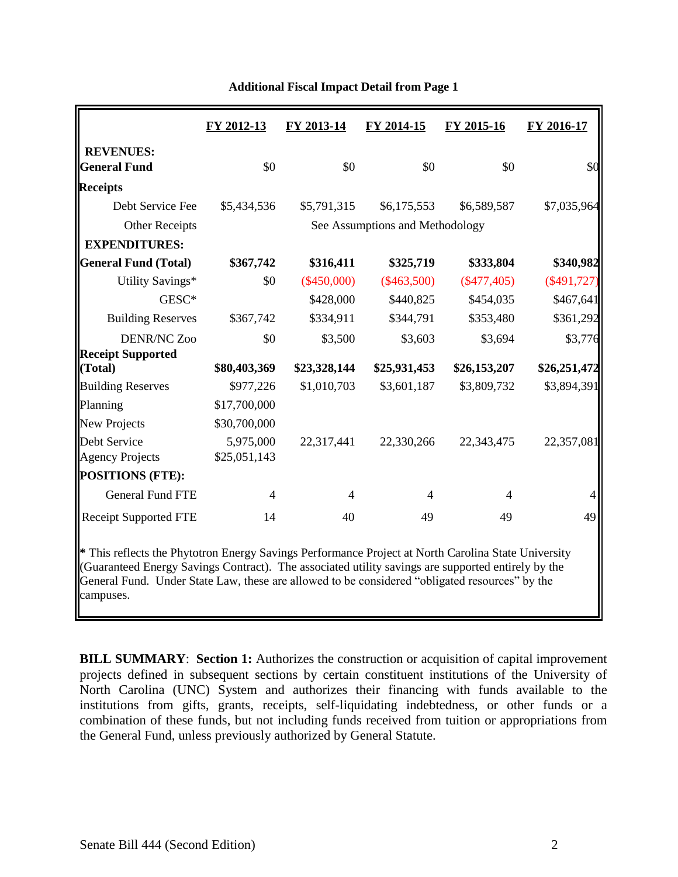|                                                                                                                                                                                                                                                                                                                          | FY 2012-13   | FY 2013-14    | FY 2014-15                      | FY 2015-16    | FY 2016-17    |
|--------------------------------------------------------------------------------------------------------------------------------------------------------------------------------------------------------------------------------------------------------------------------------------------------------------------------|--------------|---------------|---------------------------------|---------------|---------------|
| <b>REVENUES:</b><br><b>General Fund</b>                                                                                                                                                                                                                                                                                  | \$0          | \$0           | \$0                             | \$0           |               |
| <b>Receipts</b>                                                                                                                                                                                                                                                                                                          |              |               |                                 |               |               |
| Debt Service Fee                                                                                                                                                                                                                                                                                                         | \$5,434,536  | \$5,791,315   | \$6,175,553                     | \$6,589,587   | \$7,035,964   |
| <b>Other Receipts</b>                                                                                                                                                                                                                                                                                                    |              |               | See Assumptions and Methodology |               |               |
| <b>EXPENDITURES:</b>                                                                                                                                                                                                                                                                                                     |              |               |                                 |               |               |
| <b>General Fund (Total)</b>                                                                                                                                                                                                                                                                                              | \$367,742    | \$316,411     | \$325,719                       | \$333,804     | \$340,982     |
| Utility Savings*                                                                                                                                                                                                                                                                                                         | \$0          | $(\$450,000)$ | $(\$463,500)$                   | $(\$477,405)$ | $(\$491,727)$ |
| GESC*                                                                                                                                                                                                                                                                                                                    |              | \$428,000     | \$440,825                       | \$454,035     | \$467,641     |
| <b>Building Reserves</b>                                                                                                                                                                                                                                                                                                 | \$367,742    | \$334,911     | \$344,791                       | \$353,480     | \$361,292     |
| <b>DENR/NC Zoo</b>                                                                                                                                                                                                                                                                                                       | \$0          | \$3,500       | \$3,603                         | \$3,694       | \$3,776       |
| <b>Receipt Supported</b><br>(Total)                                                                                                                                                                                                                                                                                      | \$80,403,369 | \$23,328,144  | \$25,931,453                    | \$26,153,207  | \$26,251,472  |
| <b>Building Reserves</b>                                                                                                                                                                                                                                                                                                 | \$977,226    | \$1,010,703   | \$3,601,187                     | \$3,809,732   | \$3,894,391   |
| Planning                                                                                                                                                                                                                                                                                                                 | \$17,700,000 |               |                                 |               |               |
| New Projects                                                                                                                                                                                                                                                                                                             | \$30,700,000 |               |                                 |               |               |
| Debt Service                                                                                                                                                                                                                                                                                                             | 5,975,000    | 22,317,441    | 22,330,266                      | 22,343,475    | 22,357,081    |
| <b>Agency Projects</b>                                                                                                                                                                                                                                                                                                   | \$25,051,143 |               |                                 |               |               |
| <b>POSITIONS (FTE):</b>                                                                                                                                                                                                                                                                                                  |              |               |                                 |               |               |
| <b>General Fund FTE</b>                                                                                                                                                                                                                                                                                                  | 4            | 4             | 4                               | 4             |               |
| <b>Receipt Supported FTE</b>                                                                                                                                                                                                                                                                                             | 14           | 40            | 49                              | 49            | 49            |
| * This reflects the Phytotron Energy Savings Performance Project at North Carolina State University<br>(Guaranteed Energy Savings Contract). The associated utility savings are supported entirely by the<br>General Fund. Under State Law, these are allowed to be considered "obligated resources" by the<br>campuses. |              |               |                                 |               |               |

#### **Additional Fiscal Impact Detail from Page 1**

**BILL SUMMARY**: **Section 1:** Authorizes the construction or acquisition of capital improvement projects defined in subsequent sections by certain constituent institutions of the University of North Carolina (UNC) System and authorizes their financing with funds available to the institutions from gifts, grants, receipts, self-liquidating indebtedness, or other funds or a combination of these funds, but not including funds received from tuition or appropriations from the General Fund, unless previously authorized by General Statute.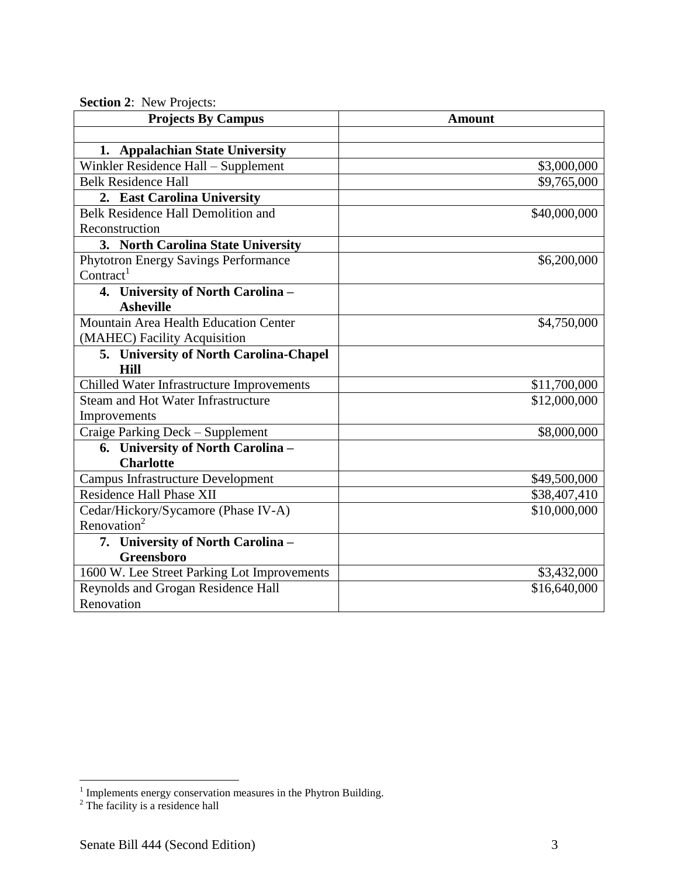| $\overline{\text{O}}$ ctubil 4. Trew Frojects.<br><b>Projects By Campus</b> | <b>Amount</b> |
|-----------------------------------------------------------------------------|---------------|
|                                                                             |               |
| 1. Appalachian State University                                             |               |
| Winkler Residence Hall - Supplement                                         | \$3,000,000   |
| <b>Belk Residence Hall</b>                                                  | \$9,765,000   |
| 2. East Carolina University                                                 |               |
| Belk Residence Hall Demolition and                                          | \$40,000,000  |
| Reconstruction                                                              |               |
| 3. North Carolina State University                                          |               |
| <b>Phytotron Energy Savings Performance</b>                                 | \$6,200,000   |
| Contract <sup>1</sup>                                                       |               |
| 4. University of North Carolina -                                           |               |
| <b>Asheville</b>                                                            |               |
| Mountain Area Health Education Center                                       | \$4,750,000   |
| (MAHEC) Facility Acquisition                                                |               |
| 5. University of North Carolina-Chapel                                      |               |
| <b>Hill</b>                                                                 |               |
| Chilled Water Infrastructure Improvements                                   | \$11,700,000  |
| <b>Steam and Hot Water Infrastructure</b>                                   | \$12,000,000  |
| Improvements                                                                |               |
| Craige Parking Deck - Supplement                                            | \$8,000,000   |
| 6. University of North Carolina -                                           |               |
| <b>Charlotte</b>                                                            |               |
| <b>Campus Infrastructure Development</b>                                    | \$49,500,000  |
| <b>Residence Hall Phase XII</b>                                             | \$38,407,410  |
| Cedar/Hickory/Sycamore (Phase IV-A)                                         | \$10,000,000  |
| Renovation <sup>2</sup>                                                     |               |
| 7. University of North Carolina -                                           |               |
| <b>Greensboro</b>                                                           |               |
| 1600 W. Lee Street Parking Lot Improvements                                 | \$3,432,000   |
| Reynolds and Grogan Residence Hall                                          | \$16,640,000  |
| Renovation                                                                  |               |

**Section 2**: New Projects:

 1 Implements energy conservation measures in the Phytron Building.

 $2^2$  The facility is a residence hall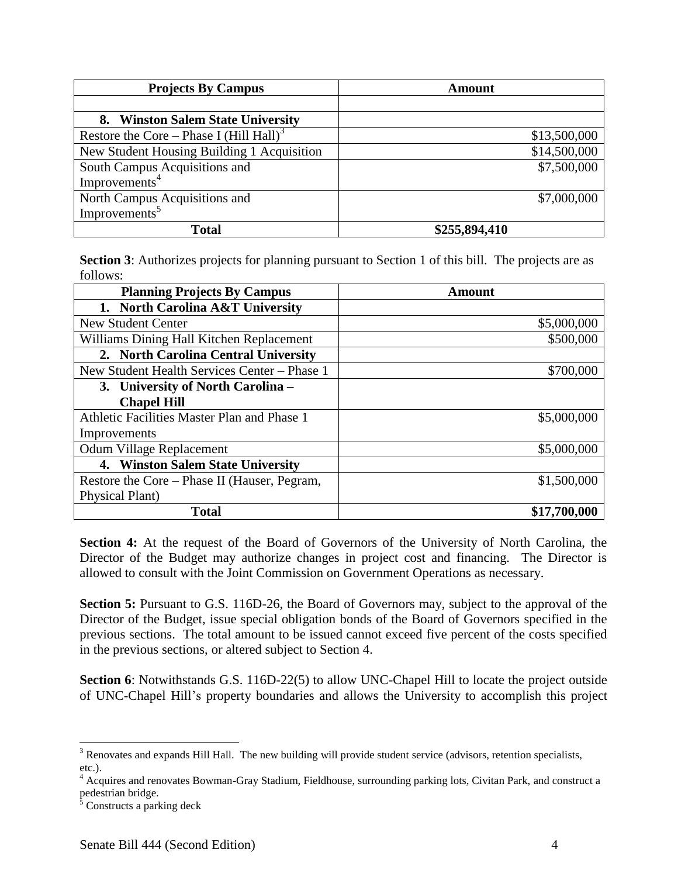| <b>Projects By Campus</b>                           | <b>Amount</b> |
|-----------------------------------------------------|---------------|
|                                                     |               |
| 8. Winston Salem State University                   |               |
| Restore the Core – Phase I (Hill Hall) <sup>3</sup> | \$13,500,000  |
| New Student Housing Building 1 Acquisition          | \$14,500,000  |
| South Campus Acquisitions and                       | \$7,500,000   |
| Improvements <sup>4</sup>                           |               |
| North Campus Acquisitions and                       | \$7,000,000   |
| Improvements <sup>5</sup>                           |               |
| <b>Total</b>                                        | \$255,894,410 |

**Section 3**: Authorizes projects for planning pursuant to Section 1 of this bill. The projects are as follows:

| <b>Planning Projects By Campus</b>           | Amount       |
|----------------------------------------------|--------------|
| 1. North Carolina A&T University             |              |
| <b>New Student Center</b>                    | \$5,000,000  |
| Williams Dining Hall Kitchen Replacement     | \$500,000    |
| 2. North Carolina Central University         |              |
| New Student Health Services Center - Phase 1 | \$700,000    |
| 3. University of North Carolina –            |              |
| <b>Chapel Hill</b>                           |              |
| Athletic Facilities Master Plan and Phase 1  | \$5,000,000  |
| Improvements                                 |              |
| <b>Odum Village Replacement</b>              | \$5,000,000  |
| 4. Winston Salem State University            |              |
| Restore the Core – Phase II (Hauser, Pegram, | \$1,500,000  |
| Physical Plant)                              |              |
| <b>Total</b>                                 | \$17,700,000 |

**Section 4:** At the request of the Board of Governors of the University of North Carolina, the Director of the Budget may authorize changes in project cost and financing. The Director is allowed to consult with the Joint Commission on Government Operations as necessary.

**Section 5:** Pursuant to G.S. 116D-26, the Board of Governors may, subject to the approval of the Director of the Budget, issue special obligation bonds of the Board of Governors specified in the previous sections. The total amount to be issued cannot exceed five percent of the costs specified in the previous sections, or altered subject to Section 4.

**Section 6**: Notwithstands G.S. 116D-22(5) to allow UNC-Chapel Hill to locate the project outside of UNC-Chapel Hill's property boundaries and allows the University to accomplish this project

 $\overline{a}$ 

 $3$  Renovates and expands Hill Hall. The new building will provide student service (advisors, retention specialists, etc.).

<sup>&</sup>lt;sup>4</sup> Acquires and renovates Bowman-Gray Stadium, Fieldhouse, surrounding parking lots, Civitan Park, and construct a pedestrian bridge.

 $5$  Constructs a parking deck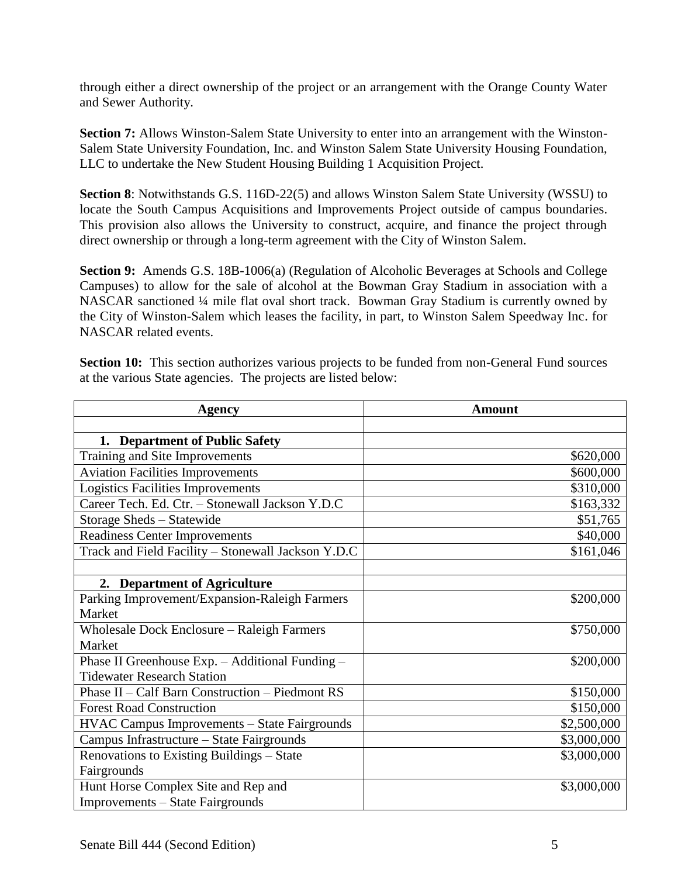through either a direct ownership of the project or an arrangement with the Orange County Water and Sewer Authority.

**Section 7:** Allows Winston-Salem State University to enter into an arrangement with the Winston-Salem State University Foundation, Inc. and Winston Salem State University Housing Foundation, LLC to undertake the New Student Housing Building 1 Acquisition Project.

**Section 8**: Notwithstands G.S. 116D-22(5) and allows Winston Salem State University (WSSU) to locate the South Campus Acquisitions and Improvements Project outside of campus boundaries. This provision also allows the University to construct, acquire, and finance the project through direct ownership or through a long-term agreement with the City of Winston Salem.

**Section 9:** Amends G.S. 18B-1006(a) (Regulation of Alcoholic Beverages at Schools and College Campuses) to allow for the sale of alcohol at the Bowman Gray Stadium in association with a NASCAR sanctioned ¼ mile flat oval short track. Bowman Gray Stadium is currently owned by the City of Winston-Salem which leases the facility, in part, to Winston Salem Speedway Inc. for NASCAR related events.

**Section 10:** This section authorizes various projects to be funded from non-General Fund sources at the various State agencies. The projects are listed below:

| <b>Agency</b>                                       | <b>Amount</b> |
|-----------------------------------------------------|---------------|
|                                                     |               |
| 1. Department of Public Safety                      |               |
| Training and Site Improvements                      | \$620,000     |
| <b>Aviation Facilities Improvements</b>             | \$600,000     |
| <b>Logistics Facilities Improvements</b>            | \$310,000     |
| Career Tech. Ed. Ctr. - Stonewall Jackson Y.D.C     | \$163,332     |
| Storage Sheds - Statewide                           | \$51,765      |
| <b>Readiness Center Improvements</b>                | \$40,000      |
| Track and Field Facility - Stonewall Jackson Y.D.C  | \$161,046     |
|                                                     |               |
| 2. Department of Agriculture                        |               |
| Parking Improvement/Expansion-Raleigh Farmers       | \$200,000     |
| Market                                              |               |
| <b>Wholesale Dock Enclosure – Raleigh Farmers</b>   | \$750,000     |
| Market                                              |               |
| Phase II Greenhouse Exp. - Additional Funding -     | \$200,000     |
| <b>Tidewater Research Station</b>                   |               |
| Phase II - Calf Barn Construction - Piedmont RS     | \$150,000     |
| <b>Forest Road Construction</b>                     | \$150,000     |
| <b>HVAC Campus Improvements - State Fairgrounds</b> | \$2,500,000   |
| Campus Infrastructure - State Fairgrounds           | \$3,000,000   |
| Renovations to Existing Buildings - State           | \$3,000,000   |
| Fairgrounds                                         |               |
| Hunt Horse Complex Site and Rep and                 | \$3,000,000   |
| Improvements – State Fairgrounds                    |               |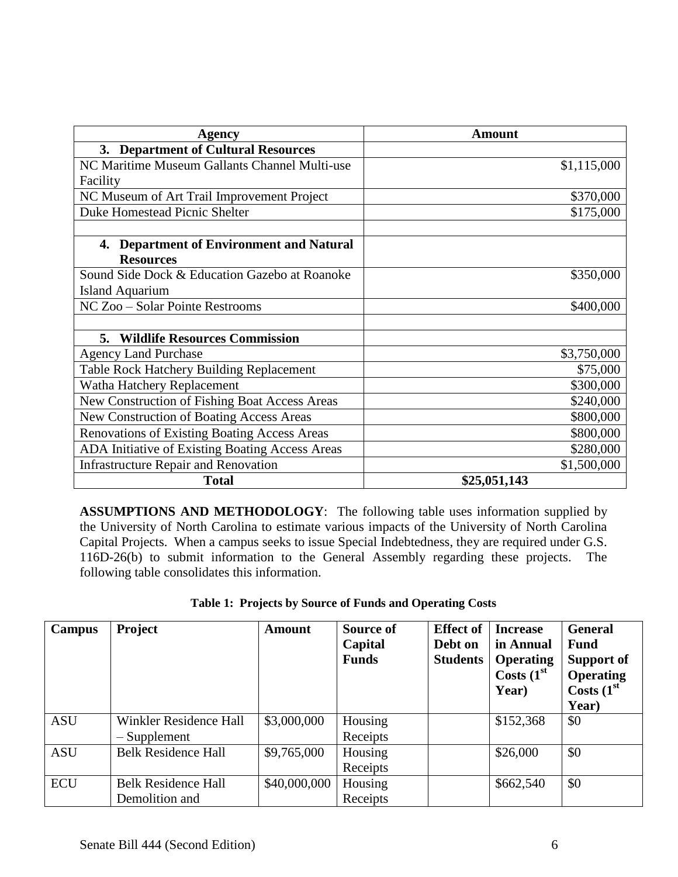| <b>Agency</b>                                       | Amount       |
|-----------------------------------------------------|--------------|
| 3. Department of Cultural Resources                 |              |
| NC Maritime Museum Gallants Channel Multi-use       | \$1,115,000  |
| Facility                                            |              |
| NC Museum of Art Trail Improvement Project          | \$370,000    |
| <b>Duke Homestead Picnic Shelter</b>                | \$175,000    |
|                                                     |              |
| <b>Department of Environment and Natural</b><br>4.  |              |
| <b>Resources</b>                                    |              |
| Sound Side Dock & Education Gazebo at Roanoke       | \$350,000    |
| <b>Island Aquarium</b>                              |              |
| NC Zoo - Solar Pointe Restrooms                     | \$400,000    |
|                                                     |              |
| <b>Wildlife Resources Commission</b><br>5.          |              |
| <b>Agency Land Purchase</b>                         | \$3,750,000  |
| Table Rock Hatchery Building Replacement            | \$75,000     |
| Watha Hatchery Replacement                          | \$300,000    |
| New Construction of Fishing Boat Access Areas       | \$240,000    |
| New Construction of Boating Access Areas            | \$800,000    |
| <b>Renovations of Existing Boating Access Areas</b> | \$800,000    |
| ADA Initiative of Existing Boating Access Areas     | \$280,000    |
| <b>Infrastructure Repair and Renovation</b>         | \$1,500,000  |
| <b>Total</b>                                        | \$25,051,143 |

**ASSUMPTIONS AND METHODOLOGY**: The following table uses information supplied by the University of North Carolina to estimate various impacts of the University of North Carolina Capital Projects. When a campus seeks to issue Special Indebtedness, they are required under G.S. 116D-26(b) to submit information to the General Assembly regarding these projects. The following table consolidates this information.

|  | Table 1: Projects by Source of Funds and Operating Costs |  |
|--|----------------------------------------------------------|--|
|  |                                                          |  |

| Campus     | Project                                         | <b>Amount</b> | Source of<br>Capital<br><b>Funds</b> | <b>Effect of</b><br>Debt on<br><b>Students</b> | <b>Increase</b><br>in Annual<br><b>Operating</b><br>Costs $(1st$<br>Year) | <b>General</b><br><b>Fund</b><br>Support of<br><b>Operating</b><br>Costs $(1st$<br>Year) |
|------------|-------------------------------------------------|---------------|--------------------------------------|------------------------------------------------|---------------------------------------------------------------------------|------------------------------------------------------------------------------------------|
| <b>ASU</b> | <b>Winkler Residence Hall</b><br>$-$ Supplement | \$3,000,000   | Housing<br>Receipts                  |                                                | \$152,368                                                                 | \$0                                                                                      |
| <b>ASU</b> | <b>Belk Residence Hall</b>                      | \$9,765,000   | Housing<br>Receipts                  |                                                | \$26,000                                                                  | \$0                                                                                      |
| <b>ECU</b> | <b>Belk Residence Hall</b><br>Demolition and    | \$40,000,000  | Housing<br>Receipts                  |                                                | \$662,540                                                                 | \$0                                                                                      |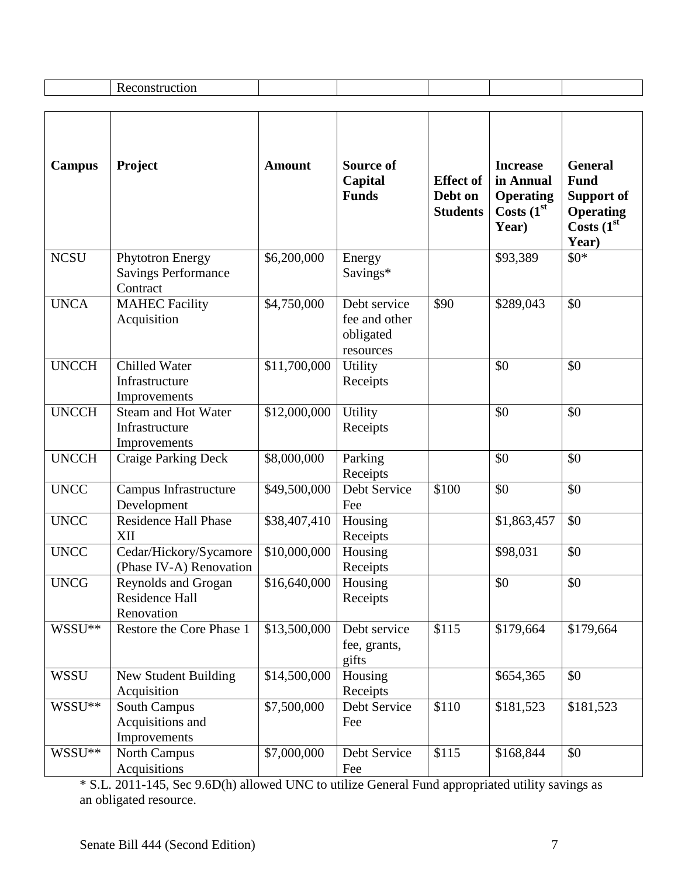|                    | Reconstruction                                                    |               |                                                         |                                                |                                                                           |                                                                                                 |
|--------------------|-------------------------------------------------------------------|---------------|---------------------------------------------------------|------------------------------------------------|---------------------------------------------------------------------------|-------------------------------------------------------------------------------------------------|
|                    |                                                                   |               |                                                         |                                                |                                                                           |                                                                                                 |
| <b>Campus</b>      | Project                                                           | <b>Amount</b> | <b>Source of</b><br>Capital<br><b>Funds</b>             | <b>Effect of</b><br>Debt on<br><b>Students</b> | <b>Increase</b><br>in Annual<br><b>Operating</b><br>Costs $(1st$<br>Year) | <b>General</b><br><b>Fund</b><br><b>Support of</b><br><b>Operating</b><br>Costs $(1st$<br>Year) |
| <b>NCSU</b>        | <b>Phytotron Energy</b><br><b>Savings Performance</b><br>Contract | \$6,200,000   | Energy<br>Savings*                                      |                                                | \$93,389                                                                  | $$0*$                                                                                           |
| <b>UNCA</b>        | <b>MAHEC Facility</b><br>Acquisition                              | \$4,750,000   | Debt service<br>fee and other<br>obligated<br>resources | \$90                                           | \$289,043                                                                 | \$0                                                                                             |
| <b>UNCCH</b>       | <b>Chilled Water</b><br>Infrastructure<br>Improvements            | \$11,700,000  | Utility<br>Receipts                                     |                                                | \$0                                                                       | \$0                                                                                             |
| <b>UNCCH</b>       | <b>Steam and Hot Water</b><br>Infrastructure<br>Improvements      | \$12,000,000  | <b>Utility</b><br>Receipts                              |                                                | \$0                                                                       | \$0                                                                                             |
| <b>UNCCH</b>       | <b>Craige Parking Deck</b>                                        | \$8,000,000   | Parking<br>Receipts                                     |                                                | \$0                                                                       | \$0                                                                                             |
| <b>UNCC</b>        | Campus Infrastructure<br>Development                              | \$49,500,000  | Debt Service<br>Fee                                     | \$100                                          | \$0                                                                       | \$0                                                                                             |
| <b>UNCC</b>        | <b>Residence Hall Phase</b><br>XII                                | \$38,407,410  | Housing<br>Receipts                                     |                                                | \$1,863,457                                                               | \$0                                                                                             |
| <b>UNCC</b>        | Cedar/Hickory/Sycamore<br>(Phase IV-A) Renovation                 | \$10,000,000  | Housing<br>Receipts                                     |                                                | \$98,031                                                                  | \$0                                                                                             |
| UNCG               | Reynolds and Grogan<br>Residence Hall<br>Renovation               | \$16,640,000  | Housing<br>Receipts                                     |                                                | \$0                                                                       | \$0                                                                                             |
| WSSU <sup>**</sup> | Restore the Core Phase 1                                          | \$13,500,000  | Debt service<br>fee, grants,<br>gifts                   | \$115                                          | \$179,664                                                                 | \$179,664                                                                                       |
| <b>WSSU</b>        | New Student Building<br>Acquisition                               | \$14,500,000  | Housing<br>Receipts                                     |                                                | \$654,365                                                                 | \$0                                                                                             |
| WSSU <sup>**</sup> | South Campus<br>Acquisitions and<br>Improvements                  | \$7,500,000   | Debt Service<br>Fee                                     | \$110                                          | \$181,523                                                                 | \$181,523                                                                                       |
| WSSU**             | North Campus<br>Acquisitions                                      | \$7,000,000   | Debt Service<br>Fee                                     | \$115                                          | \$168,844                                                                 | \$0                                                                                             |

\* S.L. 2011-145, Sec 9.6D(h) allowed UNC to utilize General Fund appropriated utility savings as an obligated resource.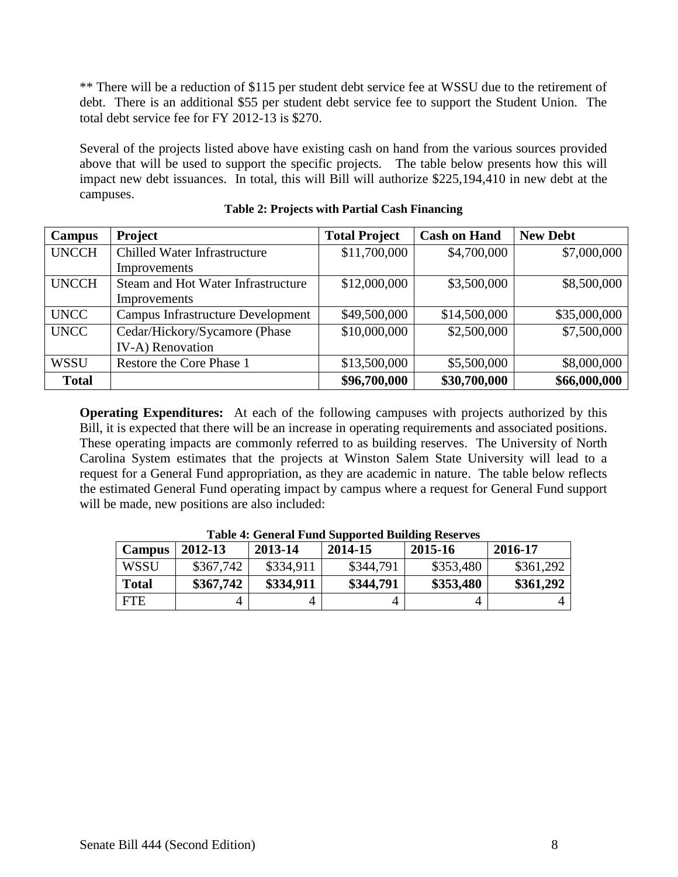\*\* There will be a reduction of \$115 per student debt service fee at WSSU due to the retirement of debt. There is an additional \$55 per student debt service fee to support the Student Union. The total debt service fee for FY 2012-13 is \$270.

Several of the projects listed above have existing cash on hand from the various sources provided above that will be used to support the specific projects. The table below presents how this will impact new debt issuances. In total, this will Bill will authorize \$225,194,410 in new debt at the campuses.

| Campus       | Project                                  | <b>Total Project</b> | <b>Cash on Hand</b> | <b>New Debt</b> |
|--------------|------------------------------------------|----------------------|---------------------|-----------------|
| <b>UNCCH</b> | Chilled Water Infrastructure             | \$11,700,000         | \$4,700,000         | \$7,000,000     |
|              | Improvements                             |                      |                     |                 |
| <b>UNCCH</b> | Steam and Hot Water Infrastructure       | \$12,000,000         | \$3,500,000         | \$8,500,000     |
|              | Improvements                             |                      |                     |                 |
| <b>UNCC</b>  | <b>Campus Infrastructure Development</b> | \$49,500,000         | \$14,500,000        | \$35,000,000    |
| <b>UNCC</b>  | Cedar/Hickory/Sycamore (Phase            | \$10,000,000         | \$2,500,000         | \$7,500,000     |
|              | IV-A) Renovation                         |                      |                     |                 |
| <b>WSSU</b>  | Restore the Core Phase 1                 | \$13,500,000         | \$5,500,000         | \$8,000,000     |
| <b>Total</b> |                                          | \$96,700,000         | \$30,700,000        | \$66,000,000    |

#### **Table 2: Projects with Partial Cash Financing**

**Operating Expenditures:** At each of the following campuses with projects authorized by this Bill, it is expected that there will be an increase in operating requirements and associated positions. These operating impacts are commonly referred to as building reserves. The University of North Carolina System estimates that the projects at Winston Salem State University will lead to a request for a General Fund appropriation, as they are academic in nature. The table below reflects the estimated General Fund operating impact by campus where a request for General Fund support will be made, new positions are also included:

| THOIC IT OUINT WITH DUPPOLIUM D'UINMING INDUIT TUD |           |           |           |           |           |  |  |
|----------------------------------------------------|-----------|-----------|-----------|-----------|-----------|--|--|
| <b>Campus</b>                                      | 2012-13   | 2013-14   | 2014-15   | 2015-16   | 2016-17   |  |  |
| WSSU                                               | \$367,742 | \$334,911 | \$344,791 | \$353,480 | \$361,292 |  |  |
| <b>Total</b>                                       | \$367,742 | \$334,911 | \$344,791 | \$353,480 | \$361,292 |  |  |
| <b>FTE</b>                                         |           |           | 4         |           |           |  |  |

**Table 4: General Fund Supported Building Reserves**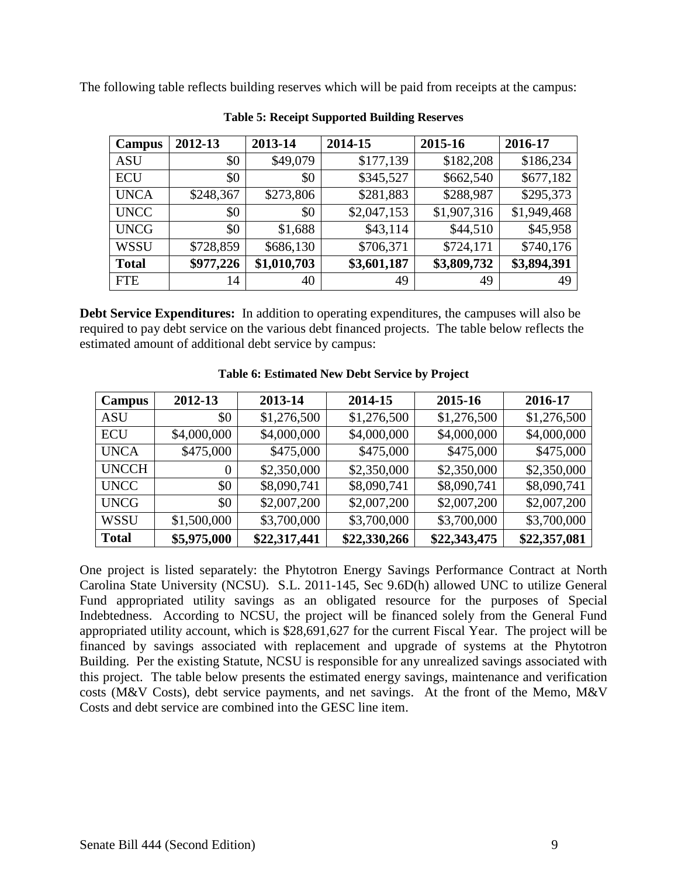The following table reflects building reserves which will be paid from receipts at the campus:

| Campus       | 2012-13   | 2013-14     | 2014-15     | 2015-16     | 2016-17     |
|--------------|-----------|-------------|-------------|-------------|-------------|
| <b>ASU</b>   | \$0       | \$49,079    | \$177,139   | \$182,208   | \$186,234   |
| <b>ECU</b>   | \$0       | \$0         | \$345,527   | \$662,540   | \$677,182   |
| <b>UNCA</b>  | \$248,367 | \$273,806   | \$281,883   | \$288,987   | \$295,373   |
| <b>UNCC</b>  | \$0       | \$0         | \$2,047,153 | \$1,907,316 | \$1,949,468 |
| <b>UNCG</b>  | \$0       | \$1,688     | \$43,114    | \$44,510    | \$45,958    |
| <b>WSSU</b>  | \$728,859 | \$686,130   | \$706,371   | \$724,171   | \$740,176   |
| <b>Total</b> | \$977,226 | \$1,010,703 | \$3,601,187 | \$3,809,732 | \$3,894,391 |
| <b>FTE</b>   | 14        | 40          | 49          | 49          | 49          |

**Table 5: Receipt Supported Building Reserves**

**Debt Service Expenditures:** In addition to operating expenditures, the campuses will also be required to pay debt service on the various debt financed projects. The table below reflects the estimated amount of additional debt service by campus:

| Campus       | 2012-13     | 2013-14      | 2014-15      | 2015-16      | 2016-17      |
|--------------|-------------|--------------|--------------|--------------|--------------|
| <b>ASU</b>   | \$0         | \$1,276,500  | \$1,276,500  | \$1,276,500  | \$1,276,500  |
| <b>ECU</b>   | \$4,000,000 | \$4,000,000  | \$4,000,000  | \$4,000,000  | \$4,000,000  |
| <b>UNCA</b>  | \$475,000   | \$475,000    | \$475,000    | \$475,000    | \$475,000    |
| <b>UNCCH</b> | 0           | \$2,350,000  | \$2,350,000  | \$2,350,000  | \$2,350,000  |
| <b>UNCC</b>  | \$0         | \$8,090,741  | \$8,090,741  | \$8,090,741  | \$8,090,741  |
| <b>UNCG</b>  | \$0         | \$2,007,200  | \$2,007,200  | \$2,007,200  | \$2,007,200  |
| <b>WSSU</b>  | \$1,500,000 | \$3,700,000  | \$3,700,000  | \$3,700,000  | \$3,700,000  |
| <b>Total</b> | \$5,975,000 | \$22,317,441 | \$22,330,266 | \$22,343,475 | \$22,357,081 |

#### **Table 6: Estimated New Debt Service by Project**

One project is listed separately: the Phytotron Energy Savings Performance Contract at North Carolina State University (NCSU). S.L. 2011-145, Sec 9.6D(h) allowed UNC to utilize General Fund appropriated utility savings as an obligated resource for the purposes of Special Indebtedness. According to NCSU, the project will be financed solely from the General Fund appropriated utility account, which is \$28,691,627 for the current Fiscal Year. The project will be financed by savings associated with replacement and upgrade of systems at the Phytotron Building. Per the existing Statute, NCSU is responsible for any unrealized savings associated with this project. The table below presents the estimated energy savings, maintenance and verification costs (M&V Costs), debt service payments, and net savings. At the front of the Memo, M&V Costs and debt service are combined into the GESC line item.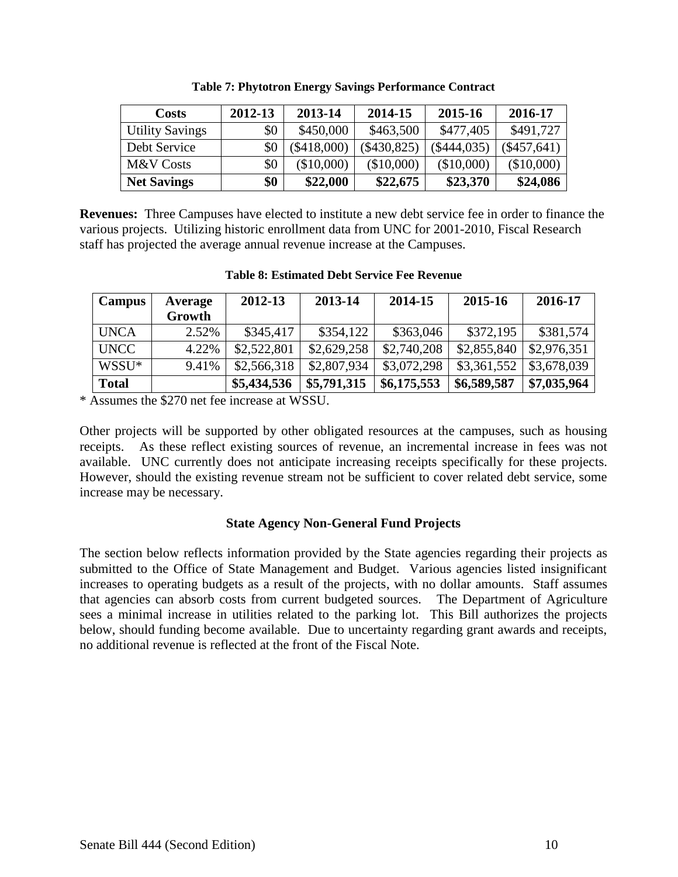| <b>Costs</b>           | 2012-13 | 2013-14       | 2014-15       | 2015-16       | 2016-17       |
|------------------------|---------|---------------|---------------|---------------|---------------|
| <b>Utility Savings</b> | \$0     | \$450,000     | \$463,500     | \$477,405     | \$491,727     |
| Debt Service           | \$0     | $(\$418,000)$ | $(\$430,825)$ | $(\$444,035)$ | $(\$457,641)$ |
| M&V Costs              | \$0     | (\$10,000)    | (\$10,000)    | (\$10,000)    | (\$10,000)    |
| <b>Net Savings</b>     | \$0     | \$22,000      | \$22,675      | \$23,370      | \$24,086      |

**Table 7: Phytotron Energy Savings Performance Contract**

**Revenues:** Three Campuses have elected to institute a new debt service fee in order to finance the various projects. Utilizing historic enrollment data from UNC for 2001-2010, Fiscal Research staff has projected the average annual revenue increase at the Campuses.

| <b>Table 8: Estimated Debt Service Fee Revenue</b> |  |
|----------------------------------------------------|--|
|                                                    |  |

| Campus            | Average | 2012-13     | 2013-14     | 2014-15     | 2015-16     | 2016-17     |
|-------------------|---------|-------------|-------------|-------------|-------------|-------------|
|                   | Growth  |             |             |             |             |             |
| <b>UNCA</b>       | 2.52%   | \$345,417   | \$354,122   | \$363,046   | \$372,195   | \$381,574   |
| <b>UNCC</b>       | 4.22%   | \$2,522,801 | \$2,629,258 | \$2,740,208 | \$2,855,840 | \$2,976,351 |
| WSSU <sup>*</sup> | 9.41%   | \$2,566,318 | \$2,807,934 | \$3,072,298 | \$3,361,552 | \$3,678,039 |
| <b>Total</b>      |         | \$5,434,536 | \$5,791,315 | \$6,175,553 | \$6,589,587 | \$7,035,964 |

\* Assumes the \$270 net fee increase at WSSU.

Other projects will be supported by other obligated resources at the campuses, such as housing receipts. As these reflect existing sources of revenue, an incremental increase in fees was not available. UNC currently does not anticipate increasing receipts specifically for these projects. However, should the existing revenue stream not be sufficient to cover related debt service, some increase may be necessary.

### **State Agency Non-General Fund Projects**

The section below reflects information provided by the State agencies regarding their projects as submitted to the Office of State Management and Budget. Various agencies listed insignificant increases to operating budgets as a result of the projects, with no dollar amounts. Staff assumes that agencies can absorb costs from current budgeted sources. The Department of Agriculture sees a minimal increase in utilities related to the parking lot. This Bill authorizes the projects below, should funding become available. Due to uncertainty regarding grant awards and receipts, no additional revenue is reflected at the front of the Fiscal Note.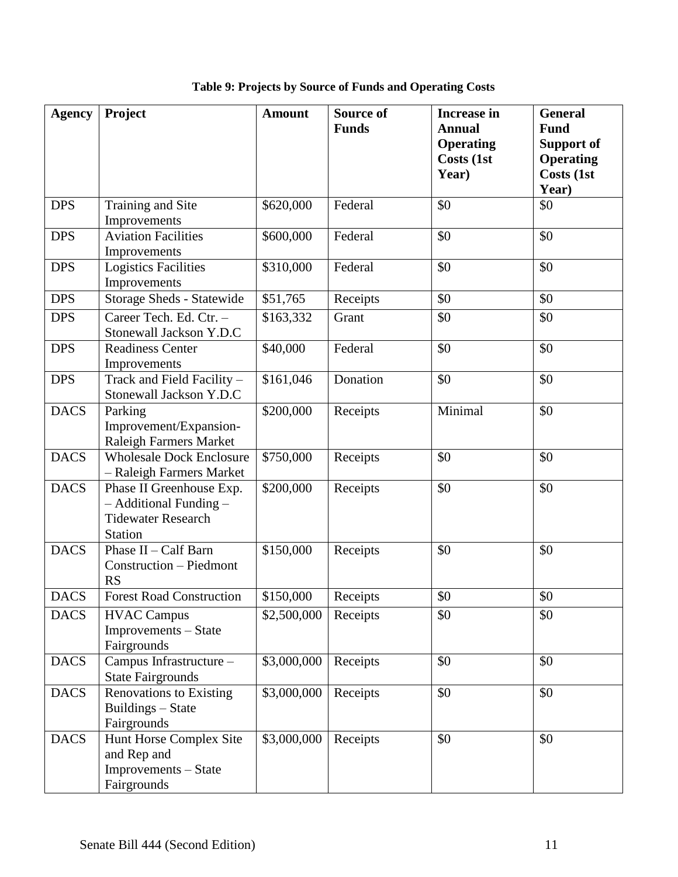| <b>Agency</b> | Project                         | <b>Amount</b> | <b>Source of</b> | <b>Increase in</b> | <b>General</b>    |
|---------------|---------------------------------|---------------|------------------|--------------------|-------------------|
|               |                                 |               | <b>Funds</b>     | <b>Annual</b>      | <b>Fund</b>       |
|               |                                 |               |                  | <b>Operating</b>   | <b>Support of</b> |
|               |                                 |               |                  | Costs (1st         | <b>Operating</b>  |
|               |                                 |               |                  | Year)              | Costs (1st        |
|               |                                 |               |                  |                    | Year)             |
| <b>DPS</b>    | Training and Site               | \$620,000     | Federal          | \$0                | \$0               |
|               | Improvements                    |               |                  |                    |                   |
| <b>DPS</b>    | <b>Aviation Facilities</b>      | \$600,000     | Federal          | \$0                | \$0               |
|               | Improvements                    |               |                  |                    |                   |
| <b>DPS</b>    | <b>Logistics Facilities</b>     | \$310,000     | Federal          | \$0                | \$0               |
|               | Improvements                    |               |                  |                    |                   |
| <b>DPS</b>    | Storage Sheds - Statewide       | \$51,765      | Receipts         | \$0                | \$0               |
| <b>DPS</b>    | Career Tech. Ed. Ctr. -         | \$163,332     | Grant            | \$0                | \$0               |
|               | Stonewall Jackson Y.D.C         |               |                  |                    |                   |
| <b>DPS</b>    | <b>Readiness Center</b>         | \$40,000      | Federal          | \$0                | \$0               |
|               | Improvements                    |               |                  |                    |                   |
| <b>DPS</b>    | Track and Field Facility -      | \$161,046     | Donation         | \$0                | \$0               |
|               | Stonewall Jackson Y.D.C         |               |                  |                    |                   |
| <b>DACS</b>   | Parking                         | \$200,000     | Receipts         | Minimal            | \$0               |
|               | Improvement/Expansion-          |               |                  |                    |                   |
|               | Raleigh Farmers Market          |               |                  |                    |                   |
| <b>DACS</b>   | <b>Wholesale Dock Enclosure</b> | \$750,000     | Receipts         | \$0                | \$0               |
|               | - Raleigh Farmers Market        |               |                  |                    |                   |
| <b>DACS</b>   | Phase II Greenhouse Exp.        | \$200,000     | Receipts         | \$0                | \$0               |
|               | $-$ Additional Funding $-$      |               |                  |                    |                   |
|               | <b>Tidewater Research</b>       |               |                  |                    |                   |
|               | Station                         |               |                  |                    |                   |
| <b>DACS</b>   | Phase $II - \text{Calf Barn}$   | \$150,000     | Receipts         | \$0                | \$0               |
|               | Construction - Piedmont         |               |                  |                    |                   |
|               | <b>RS</b>                       |               |                  |                    |                   |
| <b>DACS</b>   | <b>Forest Road Construction</b> | \$150,000     | Receipts         | \$0                | \$0               |
| <b>DACS</b>   | <b>HVAC Campus</b>              | \$2,500,000   | Receipts         | \$0                | \$0               |
|               | Improvements - State            |               |                  |                    |                   |
|               | Fairgrounds                     |               |                  |                    |                   |
| <b>DACS</b>   | Campus Infrastructure -         | \$3,000,000   | Receipts         | \$0                | \$0               |
|               | <b>State Fairgrounds</b>        |               |                  |                    |                   |
| <b>DACS</b>   | <b>Renovations to Existing</b>  | \$3,000,000   | Receipts         | \$0                | \$0               |
|               | Buildings - State               |               |                  |                    |                   |
|               | Fairgrounds                     |               |                  |                    |                   |
| <b>DACS</b>   | Hunt Horse Complex Site         | \$3,000,000   | Receipts         | \$0                | \$0               |
|               | and Rep and                     |               |                  |                    |                   |
|               | Improvements - State            |               |                  |                    |                   |
|               | Fairgrounds                     |               |                  |                    |                   |

**Table 9: Projects by Source of Funds and Operating Costs**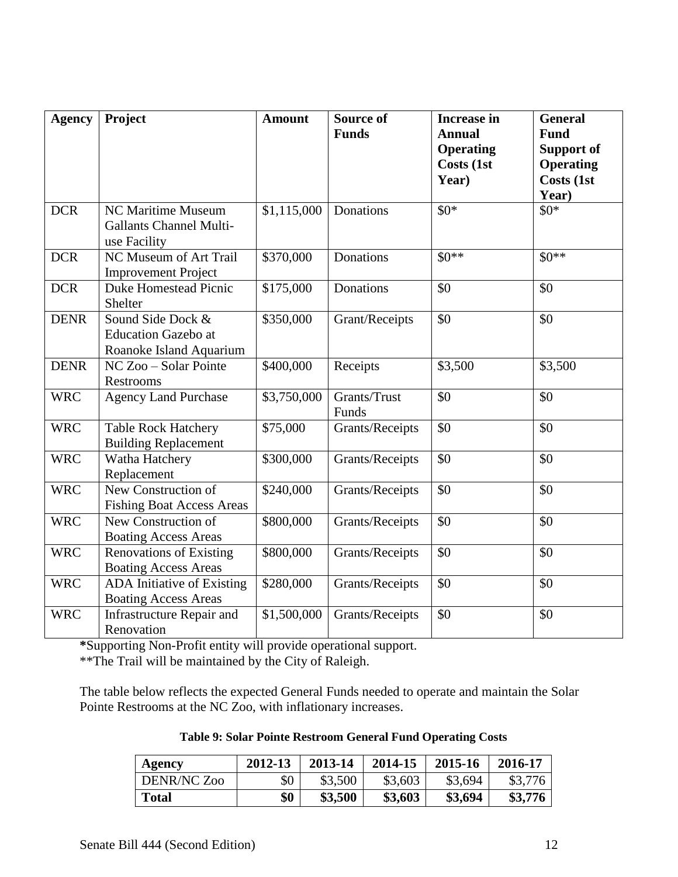| <b>Agency</b> | Project                                                                    | <b>Amount</b>           | <b>Source of</b><br><b>Funds</b> | <b>Increase in</b><br><b>Annual</b><br><b>Operating</b> | <b>General</b><br><b>Fund</b><br><b>Support of</b> |
|---------------|----------------------------------------------------------------------------|-------------------------|----------------------------------|---------------------------------------------------------|----------------------------------------------------|
|               |                                                                            |                         |                                  | Costs (1st<br>Year)                                     | <b>Operating</b><br>Costs (1st<br>Year)            |
| <b>DCR</b>    | NC Maritime Museum<br><b>Gallants Channel Multi-</b><br>use Facility       | \$1,115,000             | Donations                        | $$0*$                                                   | $$0*$                                              |
| <b>DCR</b>    | NC Museum of Art Trail<br><b>Improvement Project</b>                       | \$370,000               | <b>Donations</b>                 | $$0**$                                                  | $$0**$$                                            |
| <b>DCR</b>    | <b>Duke Homestead Picnic</b><br>Shelter                                    | \$175,000               | Donations                        | \$0                                                     | \$0                                                |
| <b>DENR</b>   | Sound Side Dock &<br><b>Education Gazebo at</b><br>Roanoke Island Aquarium | \$350,000               | Grant/Receipts                   | \$0                                                     | \$0                                                |
| <b>DENR</b>   | NC Zoo - Solar Pointe<br>Restrooms                                         | \$400,000               | Receipts                         | \$3,500                                                 | \$3,500                                            |
| <b>WRC</b>    | <b>Agency Land Purchase</b>                                                | \$3,750,000             | Grants/Trust<br>Funds            | \$0                                                     | \$0                                                |
| <b>WRC</b>    | <b>Table Rock Hatchery</b><br><b>Building Replacement</b>                  | \$75,000                | Grants/Receipts                  | \$0                                                     | \$0                                                |
| <b>WRC</b>    | Watha Hatchery<br>Replacement                                              | \$300,000               | Grants/Receipts                  | \$0                                                     | \$0                                                |
| <b>WRC</b>    | New Construction of<br><b>Fishing Boat Access Areas</b>                    | \$240,000               | Grants/Receipts                  | \$0                                                     | \$0                                                |
| <b>WRC</b>    | New Construction of<br><b>Boating Access Areas</b>                         | \$800,000               | Grants/Receipts                  | \$0                                                     | \$0                                                |
| <b>WRC</b>    | <b>Renovations of Existing</b><br><b>Boating Access Areas</b>              | \$800,000               | Grants/Receipts                  | \$0                                                     | \$0                                                |
| <b>WRC</b>    | ADA Initiative of Existing<br><b>Boating Access Areas</b>                  | \$280,000               | Grants/Receipts                  | \$0                                                     | \$0                                                |
| <b>WRC</b>    | <b>Infrastructure Repair and</b><br>Renovation                             | $\overline{$}1,500,000$ | Grants/Receipts                  | \$0                                                     | \$0                                                |

**\***Supporting Non-Profit entity will provide operational support.

\*\*The Trail will be maintained by the City of Raleigh.

The table below reflects the expected General Funds needed to operate and maintain the Solar Pointe Restrooms at the NC Zoo, with inflationary increases.

| <b>Table 9: Solar Pointe Restroom General Fund Operating Costs</b> |  |  |
|--------------------------------------------------------------------|--|--|
|--------------------------------------------------------------------|--|--|

| Agency       | 2012-13 | 2013-14 | 2014-15 | 2015-16 | 2016-17 |
|--------------|---------|---------|---------|---------|---------|
| DENR/NC Zoo  | \$0     | \$3,500 | \$3,603 | \$3,694 | \$3,776 |
| <b>Total</b> | \$0     | \$3,500 | \$3,603 | \$3,694 | \$3,776 |